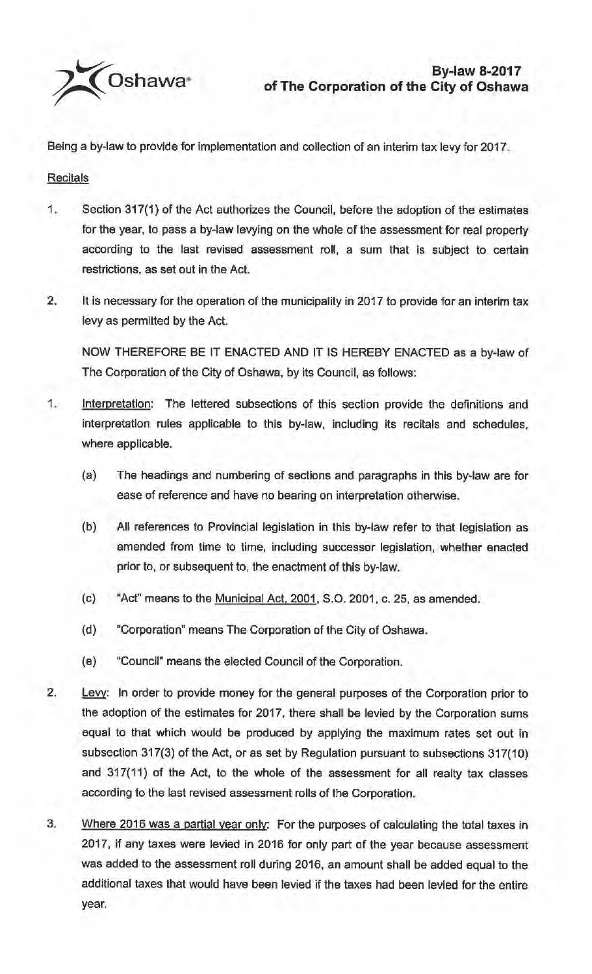

Being a by-law to provide for implementation and collection of an interim tax levy for 2017.

**Recitals** 

- 1. Section 317(1) of the Act authorizes the Council, before the adoption of the estimates for the year, to pass a by-law levying on the whole of the assessment for real property according to the last revised assessment roll, a sum that is subject to certain restrictions, as set out in the Act.
- 2. It is necessary for the operation of the municipality in 2017 to provide for an interim tax levy as permitted by the Act.

NOW THEREFORE BE IT ENACTED AND IT IS HEREBY ENACTED as a by-law of The Corporation of the City of Oshawa. by its Council, as follows:

- 1. Interpretation: The lettered subsections of this section provide the definitions and interpretation rules applicable to this by-law, including its recitals and schedules, where applicable.
	- (a) The headings and numbering of sections and paragraphs in this by-law are for ease of reference and have no bearing on interpretation otherwise.
	- (b) All references to Provincial legislation in this by-law refer to that legislation as amended from time to time, including successor legislation, whether enacted prior to, or subsequent to, the enactment of this by-law.
	- (c} "Act" means to the Municipal Act, 2001, S.O. 2001, c. 25, as amended.
	- (d) "Corporation" means The Corporation of the City of Oshawa.
	- ( e) ''Council" means the elected Council of the Corporation.
- 2. Levy: In order to provide money for the general purposes of the Corporation prior to the adoption of the estimates for 2017, there shall be levied by the Corporation sums equal to that which would be produced by applying the maximum rates set out in subsection 317(3) of the Act, or as set by Regulation pursuant to subsections 317(10) and 317(11) of the Act, to the whole of the assessment for all realty tax classes according to the last revised assessment rolls of the Corporation.
- 3. Where 2016 was a partial year only: For the purposes of calculating the total taxes in 2017, if any taxes were levied in 2016 for only part of the year because assessment was added to the assessment roll during 2016, an amount shall be added equal to the additional taxes that would have been levied if the taxes had been levied for the entire year.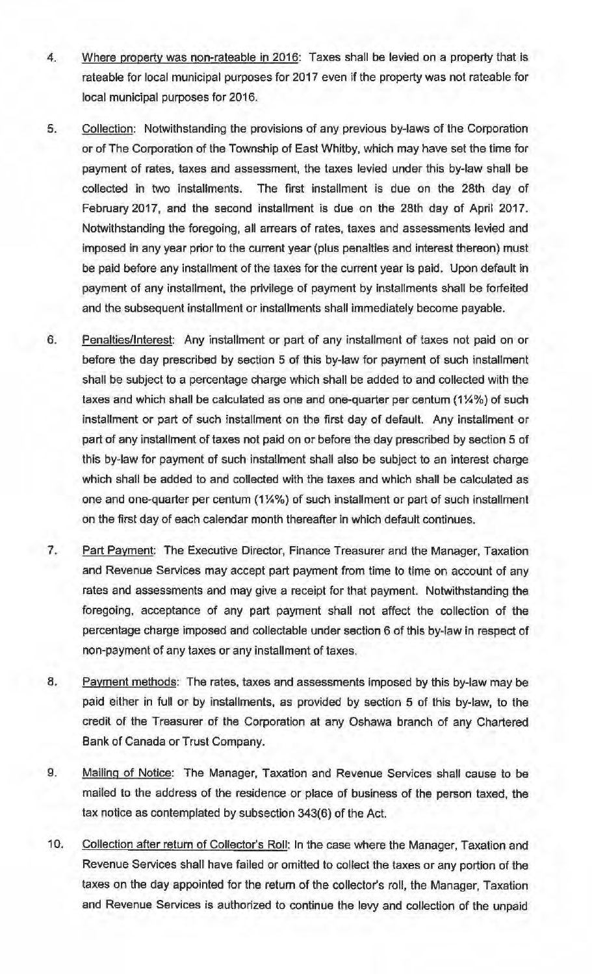- 4. Where property was non-rateable in 2016: Taxes shall be levied on a property that is rateable for local municipal purposes for 2017 even if the property was not rateable for local municipal purposes for 2016.
- 5. Collection: Notwithstanding the provisions of any previous by-laws of the Corporation or of The Corporation of the Township of East Whitby, which may have set the time for payment of rates, taxes and assessment, the taxes levied under this by-law shall be collected in two installments. The first installment is due on the 28th day of February 2017, and the second installment is due on the 28th day of April 2017. Notwithstanding the foregoing, all arrears of rates, taxes and assessments levied and imposed in any year prior to the current year (plus penalties and interest thereon) must be paid before any installment of the taxes for the current year is paid. Upon default in payment of any installment, the privilege of payment by installments shall be forfeited and the subsequent installment or installments shall immediately become payable.
- 6. Penalties/Interest: Any installment or part of any installment of taxes not paid on or before the day prescribed by section 5 of this by-law for payment of such installment shall be subject to a percentage charge which shall be added to and collected with the taxes and which shall be calculated as one and one-quarter per centum (1¼%) of such installment or part of such installment on the first day of default. Any installment or part of any installment of taxes not paid on or before the day prescribed by section 5 of this by-law for payment of such installment shall also be subject to an interest charge which shall be added to and collected with the taxes and which shall be calculated as one and one-quarter per centum (1¼%) of such installment or part of such installment on the first day of each calendar month thereafter in which default continues.
- 7. Part Payment: The Executive Director, Finance Treasurer and the Manager, Taxation and Revenue Services may accept part payment from time to time on account of any rates and assessments and may give a receipt for that payment. Notwithstanding the foregoing, acceptance of any part payment shall not affect the collection of the percentage charge imposed and collectable under section 6 of this by-law in respect of non-payment of any taxes or any installment of taxes.
- 8. Payment methods: The rates, taxes and assessments imposed by this by-law may be paid either in full or by installments, as provided by section 5 of this by-law, to the credit of the Treasurer of the Corporation at any Oshawa branch of any Chartered Bank of Canada or Trust Company.
- 9. Mailing of Notice: The Manager, Taxation and Revenue Services shall cause to be mailed to the address of the residence or place of business of the person taxed, the tax notice as contemplated by subsection 343(6) of the Act.
- 10. Collection after return of Collector's Roll: In the case where the Manager, Taxation and Revenue Services shall have failed or omitted to collect the taxes or any portion of the taxes on the day appointed for the return of the collector's roll, the Manager, Taxation and Revenue Services is authorized to continue the levy and collection of the unpaid